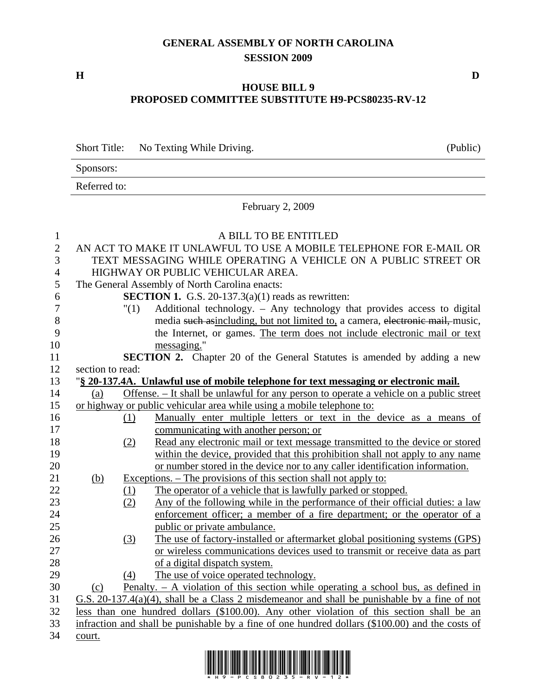## **GENERAL ASSEMBLY OF NORTH CAROLINA SESSION 2009**

## **HOUSE BILL 9 PROPOSED COMMITTEE SUBSTITUTE H9-PCS80235-RV-12**

|                                 | <b>Short Title:</b><br>No Texting While Driving.                                                                                                              |                                                                                                 |                                                                                                                                                                                                                                                      | (Public) |  |
|---------------------------------|---------------------------------------------------------------------------------------------------------------------------------------------------------------|-------------------------------------------------------------------------------------------------|------------------------------------------------------------------------------------------------------------------------------------------------------------------------------------------------------------------------------------------------------|----------|--|
|                                 | Sponsors:                                                                                                                                                     |                                                                                                 |                                                                                                                                                                                                                                                      |          |  |
|                                 | Referred to:                                                                                                                                                  |                                                                                                 |                                                                                                                                                                                                                                                      |          |  |
|                                 | February 2, 2009                                                                                                                                              |                                                                                                 |                                                                                                                                                                                                                                                      |          |  |
| $\mathbf{1}$<br>$\sqrt{2}$<br>3 | A BILL TO BE ENTITLED<br>AN ACT TO MAKE IT UNLAWFUL TO USE A MOBILE TELEPHONE FOR E-MAIL OR<br>TEXT MESSAGING WHILE OPERATING A VEHICLE ON A PUBLIC STREET OR |                                                                                                 |                                                                                                                                                                                                                                                      |          |  |
| $\overline{4}$                  | HIGHWAY OR PUBLIC VEHICULAR AREA.                                                                                                                             |                                                                                                 |                                                                                                                                                                                                                                                      |          |  |
| 5                               | The General Assembly of North Carolina enacts:                                                                                                                |                                                                                                 |                                                                                                                                                                                                                                                      |          |  |
| 6                               | <b>SECTION 1.</b> G.S. 20-137.3(a)(1) reads as rewritten:                                                                                                     |                                                                                                 |                                                                                                                                                                                                                                                      |          |  |
| 7<br>8<br>9<br>10               |                                                                                                                                                               | "(1)                                                                                            | Additional technology. - Any technology that provides access to digital<br>media such asincluding, but not limited to, a camera, electronic mail, music,<br>the Internet, or games. The term does not include electronic mail or text<br>messaging." |          |  |
| 11                              |                                                                                                                                                               | <b>SECTION 2.</b> Chapter 20 of the General Statutes is amended by adding a new                 |                                                                                                                                                                                                                                                      |          |  |
| 12                              |                                                                                                                                                               | section to read:                                                                                |                                                                                                                                                                                                                                                      |          |  |
| 13                              | "§ 20-137.4A. Unlawful use of mobile telephone for text messaging or electronic mail.                                                                         |                                                                                                 |                                                                                                                                                                                                                                                      |          |  |
| 14                              | Offense. - It shall be unlawful for any person to operate a vehicle on a public street<br>(a)                                                                 |                                                                                                 |                                                                                                                                                                                                                                                      |          |  |
| 15                              | or highway or public vehicular area while using a mobile telephone to:                                                                                        |                                                                                                 |                                                                                                                                                                                                                                                      |          |  |
| 16                              |                                                                                                                                                               | (1)                                                                                             | Manually enter multiple letters or text in the device as a means of                                                                                                                                                                                  |          |  |
| 17                              |                                                                                                                                                               |                                                                                                 | communicating with another person; or                                                                                                                                                                                                                |          |  |
| 18                              |                                                                                                                                                               | (2)                                                                                             | Read any electronic mail or text message transmitted to the device or stored                                                                                                                                                                         |          |  |
| 19                              |                                                                                                                                                               |                                                                                                 | within the device, provided that this prohibition shall not apply to any name                                                                                                                                                                        |          |  |
| 20                              |                                                                                                                                                               |                                                                                                 | or number stored in the device nor to any caller identification information.                                                                                                                                                                         |          |  |
| 21                              | <u>(b)</u>                                                                                                                                                    |                                                                                                 | <u>Exceptions. – The provisions of this section shall not apply to:</u>                                                                                                                                                                              |          |  |
| 22                              |                                                                                                                                                               | $\frac{(1)}{(2)}$                                                                               | The operator of a vehicle that is lawfully parked or stopped.                                                                                                                                                                                        |          |  |
| 23                              |                                                                                                                                                               |                                                                                                 | Any of the following while in the performance of their official duties: a law                                                                                                                                                                        |          |  |
| 24                              |                                                                                                                                                               |                                                                                                 | enforcement officer; a member of a fire department; or the operator of a                                                                                                                                                                             |          |  |
| 25                              |                                                                                                                                                               |                                                                                                 | public or private ambulance.                                                                                                                                                                                                                         |          |  |
| 26                              |                                                                                                                                                               | (3)                                                                                             | The use of factory-installed or aftermarket global positioning systems (GPS)                                                                                                                                                                         |          |  |
| 27                              |                                                                                                                                                               |                                                                                                 | or wireless communications devices used to transmit or receive data as part                                                                                                                                                                          |          |  |
| 28                              |                                                                                                                                                               |                                                                                                 | of a digital dispatch system.                                                                                                                                                                                                                        |          |  |
| 29                              |                                                                                                                                                               | (4)                                                                                             | The use of voice operated technology.                                                                                                                                                                                                                |          |  |
| 30                              | (c)                                                                                                                                                           | <u>Penalty. – A violation of this section while operating a school bus, as defined in</u>       |                                                                                                                                                                                                                                                      |          |  |
| 31                              |                                                                                                                                                               | G.S. $20-137.4(a)(4)$ , shall be a Class 2 misdemeanor and shall be punishable by a fine of not |                                                                                                                                                                                                                                                      |          |  |
| 32                              |                                                                                                                                                               | less than one hundred dollars (\$100.00). Any other violation of this section shall be an       |                                                                                                                                                                                                                                                      |          |  |
| 33                              |                                                                                                                                                               | infraction and shall be punishable by a fine of one hundred dollars (\$100.00) and the costs of |                                                                                                                                                                                                                                                      |          |  |
| 34                              | court.                                                                                                                                                        |                                                                                                 |                                                                                                                                                                                                                                                      |          |  |



**H D**